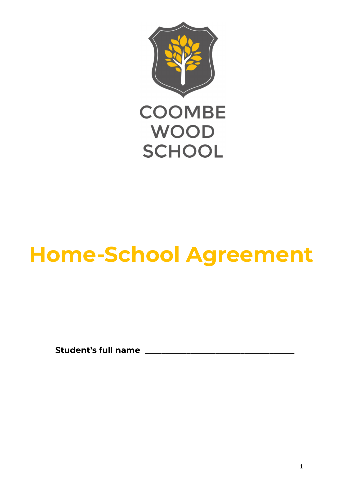

# **Home-School Agreement**

**Student's full name \_\_\_\_\_\_\_\_\_\_\_\_\_\_\_\_\_\_\_\_\_\_\_\_\_\_\_\_\_\_\_\_\_\_\_\_**

1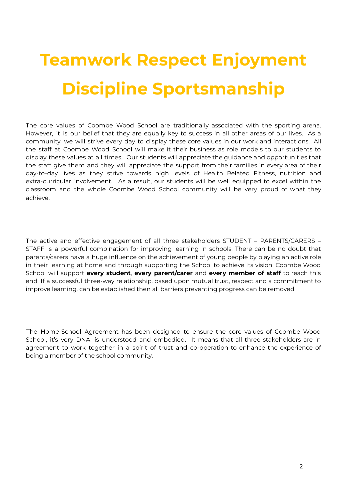# **Teamwork Respect Enjoyment Discipline Sportsmanship**

The core values of Coombe Wood School are traditionally associated with the sporting arena. However, it is our belief that they are equally key to success in all other areas of our lives. As a community, we will strive every day to display these core values in our work and interactions. All the staff at Coombe Wood School will make it their business as role models to our students to display these values at all times. Our students will appreciate the guidance and opportunities that the staff give them and they will appreciate the support from their families in every area of their day-to-day lives as they strive towards high levels of Health Related Fitness, nutrition and extra-curricular involvement. As a result, our students will be well equipped to excel within the classroom and the whole Coombe Wood School community will be very proud of what they achieve.

The active and effective engagement of all three stakeholders STUDENT – PARENTS/CARERS – STAFF is a powerful combination for improving learning in schools. There can be no doubt that parents/carers have a huge influence on the achievement of young people by playing an active role in their learning at home and through supporting the School to achieve its vision. Coombe Wood School will support **every student**, **every parent/carer** and **every member of staff** to reach this end. If a successful three-way relationship, based upon mutual trust, respect and a commitment to improve learning, can be established then all barriers preventing progress can be removed.

The Home-School Agreement has been designed to ensure the core values of Coombe Wood School, it's very DNA, is understood and embodied. It means that all three stakeholders are in agreement to work together in a spirit of trust and co-operation to enhance the experience of being a member of the school community.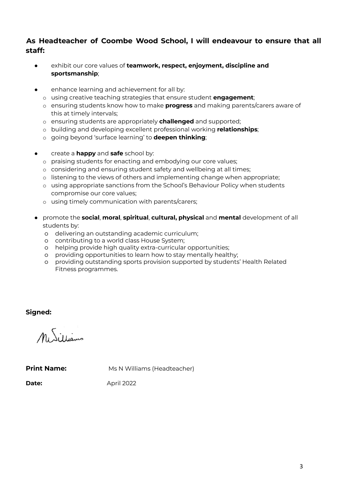# **As Headteacher of Coombe Wood School, I will endeavour to ensure that all staff:**

- exhibit our core values of **teamwork, respect, enjoyment, discipline and sportsmanship**;
- **•** enhance learning and achievement for all by:
	- o using creative teaching strategies that ensure student **engagement**;
	- o ensuring students know how to make **progress** and making parents/carers aware of this at timely intervals;
	- o ensuring students are appropriately **challenged** and supported;
	- o building and developing excellent professional working **relationships**;
	- o going beyond 'surface learning' to **deepen thinking**;
- create a **happy** and **safe** school by:
	- o praising students for enacting and embodying our core values;
	- o considering and ensuring student safety and wellbeing at all times;
	- o listening to the views of others and implementing change when appropriate;
	- o using appropriate sanctions from the School's Behaviour Policy when students compromise our core values;
	- o using timely communication with parents/carers;
- promote the **social**, **moral**, **spiritual**, **cultural, physical** and **mental** development of all students by:
	- o delivering an outstanding academic curriculum;
	- o contributing to a world class House System;
	- o helping provide high quality extra-curricular opportunities;
	- o providing opportunities to learn how to stay mentally healthy;
	- o providing outstanding sports provision supported by students' Health Related Fitness programmes.

**Signed:**

MiSillians

**Print Name:** Ms N Williams (Headteacher)

**Date:** April 2022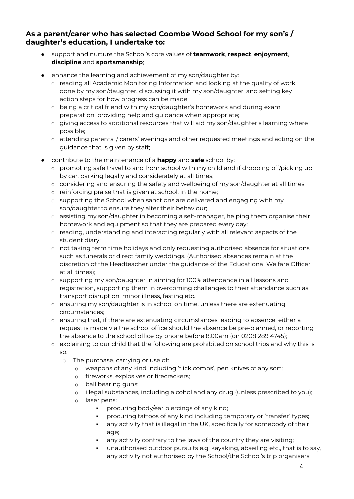## **As a parent/carer who has selected Coombe Wood School for my son's / daughter's education, I undertake to:**

- support and nurture the School's core values of **teamwork**, **respect**, **enjoyment**, **discipline** and **sportsmanship**;
- enhance the learning and achievement of my son/daughter by:
	- o reading all Academic Monitoring Information and looking at the quality of work done by my son/daughter, discussing it with my son/daughter, and setting key action steps for how progress can be made;
	- o being a critical friend with my son/daughter's homework and during exam preparation, providing help and guidance when appropriate;
	- o giving access to additional resources that will aid my son/daughter's learning where possible;
	- o attending parents' / carers' evenings and other requested meetings and acting on the guidance that is given by staff;
- contribute to the maintenance of a **happy** and **safe** school by:
	- o promoting safe travel to and from school with my child and if dropping off/picking up by car, parking legally and considerately at all times;
	- o considering and ensuring the safety and wellbeing of my son/daughter at all times;
	- o reinforcing praise that is given at school, in the home;
	- o supporting the School when sanctions are delivered and engaging with my son/daughter to ensure they alter their behaviour;
	- o assisting my son/daughter in becoming a self-manager, helping them organise their homework and equipment so that they are prepared every day;
	- o reading, understanding and interacting regularly with all relevant aspects of the student diary;
	- o not taking term time holidays and only requesting authorised absence for situations such as funerals or direct family weddings. (Authorised absences remain at the discretion of the Headteacher under the guidance of the Educational Welfare Officer at all times);
	- o supporting my son/daughter in aiming for 100% attendance in all lessons and registration, supporting them in overcoming challenges to their attendance such as transport disruption, minor illness, fasting etc.;
	- o ensuring my son/daughter is in school on time, unless there are extenuating circumstances;
	- o ensuring that, if there are extenuating circumstances leading to absence, either a request is made via the school office should the absence be pre-planned, or reporting the absence to the school office by phone before 8.00am (on 0208 289 4745);
	- $\circ$  explaining to our child that the following are prohibited on school trips and why this is so:
		- o The purchase, carrying or use of:
			- o weapons of any kind including 'flick combs', pen knives of any sort;
			- o fireworks, explosives or firecrackers;
			- o ball bearing guns;
			- o illegal substances, including alcohol and any drug (unless prescribed to you);
			- o laser pens;
				- procuring body/ear piercings of any kind;
				- procuring tattoos of any kind including temporary or 'transfer' types;
				- **.** any activity that is illegal in the UK, specifically for somebody of their age;
				- any activity contrary to the laws of the country they are visiting;
				- unauthorised outdoor pursuits e.g. kayaking, abseiling etc., that is to say, any activity not authorised by the School/the School's trip organisers;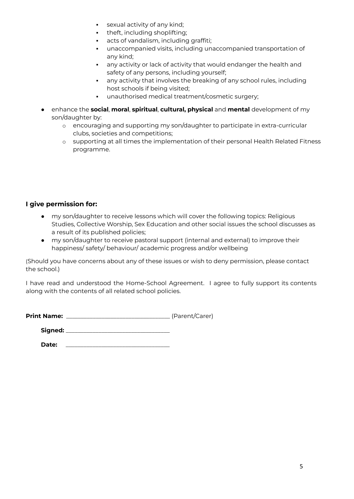- sexual activity of any kind;
- theft, including shoplifting;
- acts of vandalism, including graffiti;
- unaccompanied visits, including unaccompanied transportation of any kind;
- any activity or lack of activity that would endanger the health and safety of any persons, including yourself;
- any activity that involves the breaking of any school rules, including host schools if being visited;
- unauthorised medical treatment/cosmetic surgery;
- enhance the **social**, **moral**, **spiritual**, **cultural, physical** and **mental** development of my son/daughter by:
	- o encouraging and supporting my son/daughter to participate in extra-curricular clubs, societies and competitions;
	- o supporting at all times the implementation of their personal Health Related Fitness programme.

## **I give permission for:**

- my son/daughter to receive lessons which will cover the following topics: Religious Studies, Collective Worship, Sex Education and other social issues the school discusses as a result of its published policies;
- my son/daughter to receive pastoral support (internal and external) to improve their happiness/ safety/ behaviour/ academic progress and/or wellbeing

(Should you have concerns about any of these issues or wish to deny permission, please contact the school.)

I have read and understood the Home-School Agreement. I agree to fully support its contents along with the contents of all related school policies.

| <b>Print Name:</b> |  | (Parent/Carer) |  |
|--------------------|--|----------------|--|
|--------------------|--|----------------|--|

| Signed: |  |
|---------|--|
|---------|--|

Date: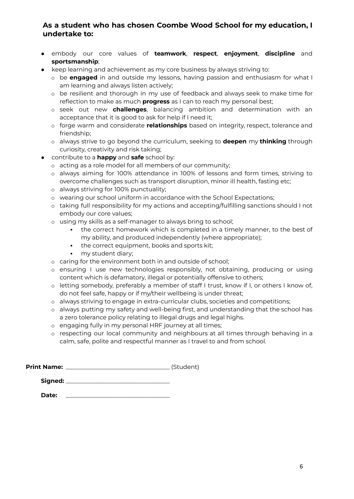## **As a student who has chosen Coombe Wood School for my education, I undertake to:**

- embody our core values of **teamwork**, **respect**, **enjoyment**, **discipline** and **sportsmanship**;
- keep learning and achievement as my core business by always striving to:
	- o be **engaged** in and outside my lessons, having passion and enthusiasm for what I am learning and always listen actively;
	- o be resilient and thorough in my use of feedback and always seek to make time for reflection to make as much **progress** as I can to reach my personal best;
	- o seek out new **challenges**, balancing ambition and determination with an acceptance that it is good to ask for help if I need it;
	- o forge warm and considerate **relationships** based on integrity, respect, tolerance and friendship;
	- o always strive to go beyond the curriculum, seeking to **deepen** my **thinking** through curiosity, creativity and risk taking;
- contribute to a **happy** and **safe** school by:
	- o acting as a role model for all members of our community;
	- o always aiming for 100% attendance in 100% of lessons and form times, striving to overcome challenges such as transport disruption, minor ill health, fasting etc;
	- o always striving for 100% punctuality;
	- o wearing our school uniform in accordance with the School Expectations;
	- o taking full responsibility for my actions and accepting/fulfilling sanctions should I not embody our core values;
	- o using my skills as a self-manager to always bring to school;
		- . the correct homework which is completed in a timely manner, to the best of my ability, and produced independently (where appropriate);
		- the correct equipment, books and sports kit;
		- **•** my student diary;
	- o caring for the environment both in and outside of school;
	- o ensuring I use new technologies responsibly, not obtaining, producing or using content which is defamatory, illegal or potentially offensive to others;
	- o letting somebody, preferably a member of staff I trust, know if I, or others I know of, do not feel safe, happy or if my/their wellbeing is under threat;
	- o always striving to engage in extra-curricular clubs, societies and competitions;
	- o always putting my safety and well-being first, and understanding that the school has a zero tolerance policy relating to illegal drugs and legal highs.
	- o engaging fully in my personal HRF journey at all times;
	- o respecting our local community and neighbours at all times through behaving in a calm, safe, polite and respectful manner as I travel to and from school.

| <b>Print Name:</b> |  | (Student) |
|--------------------|--|-----------|
|--------------------|--|-----------|

| Signed: |
|---------|
|---------|

**Date:** \_\_\_\_\_\_\_\_\_\_\_\_\_\_\_\_\_\_\_\_\_\_\_\_\_\_\_\_\_\_\_\_\_\_\_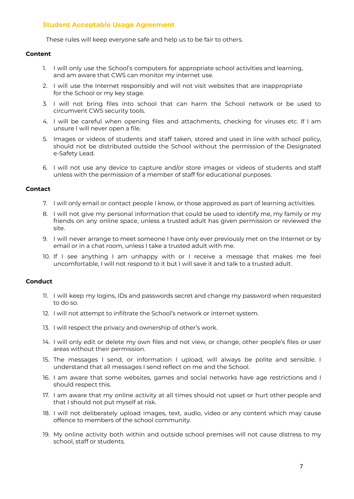### **Student Acceptable Usage Agreement**

These rules will keep everyone safe and help us to be fair to others.

#### **Content**

- 1. I will only use the School's computers for appropriate school activities and learning, and am aware that CWS can monitor my internet use.
- 2. I will use the Internet responsibly and will not visit websites that are inappropriate for the School or my key stage.
- 3. I will not bring files into school that can harm the School network or be used to circumvent CWS security tools.
- 4. I will be careful when opening files and attachments, checking for viruses etc. If I am unsure I will never open a file.
- 5. Images or videos of students and staff taken, stored and used in line with school policy, should not be distributed outside the School without the permission of the Designated e-Safety Lead.
- 6. I will not use any device to capture and/or store images or videos of students and staff unless with the permission of a member of staff for educational purposes.

#### **Contact**

- 7. I will only email or contact people I know, or those approved as part of learning activities.
- 8. I will not give my personal information that could be used to identify me, my family or my friends on any online space, unless a trusted adult has given permission or reviewed the site.
- 9. I will never arrange to meet someone I have only ever previously met on the Internet or by email or in a chat room, unless I take a trusted adult with me.
- 10. If I see anything I am unhappy with or I receive a message that makes me feel uncomfortable, I will not respond to it but I will save it and talk to a trusted adult.

#### **Conduct**

- 11. I will keep my logins, IDs and passwords secret and change my password when requested to do so.
- 12. I will not attempt to infiltrate the School's network or internet system.
- 13. I will respect the privacy and ownership of other's work.
- 14. I will only edit or delete my own files and not view, or change, other people's files or user areas without their permission.
- 15. The messages I send, or information I upload, will always be polite and sensible. I understand that all messages I send reflect on me and the School.
- 16. I am aware that some websites, games and social networks have age restrictions and I should respect this.
- 17. I am aware that my online activity at all times should not upset or hurt other people and that I should not put myself at risk.
- 18. I will not deliberately upload images, text, audio, video or any content which may cause offence to members of the school community.
- 19. My online activity both within and outside school premises will not cause distress to my school, staff or students.